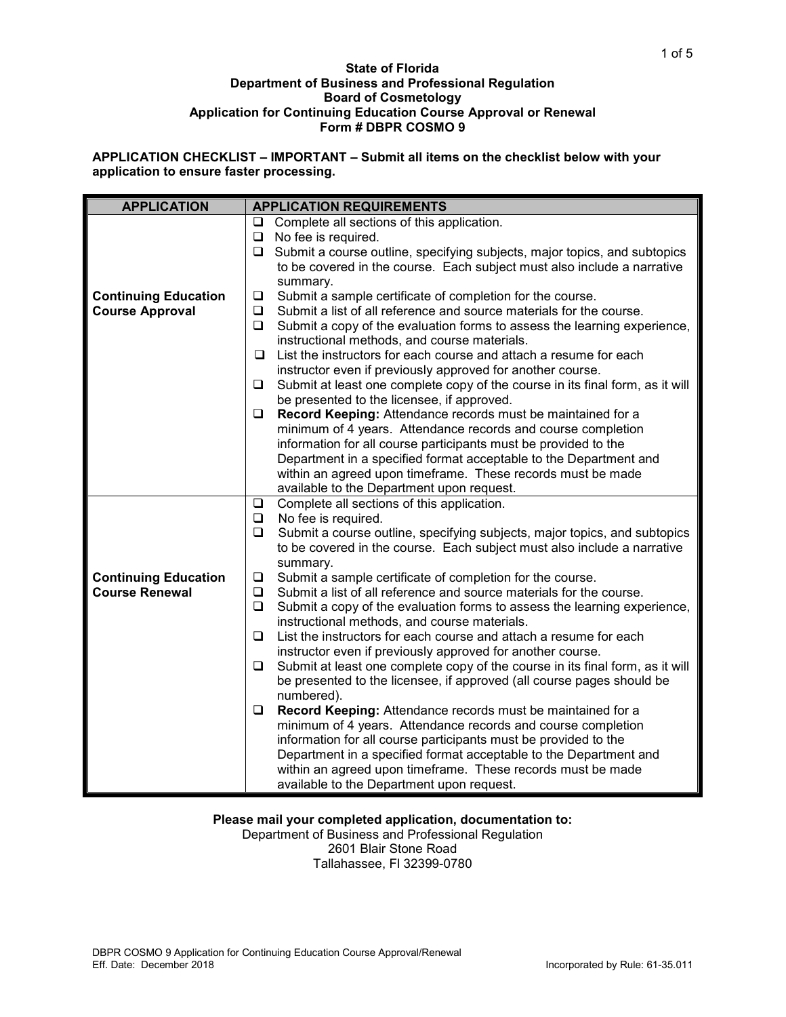### **State of Florida Department of Business and Professional Regulation Board of Cosmetology Application for Continuing Education Course Approval or Renewal Form # DBPR COSMO 9**

**APPLICATION CHECKLIST – IMPORTANT – Submit all items on the checklist below with your application to ensure faster processing.**

| <b>APPLICATION</b>          | <b>APPLICATION REQUIREMENTS</b>                                                         |  |  |  |  |  |
|-----------------------------|-----------------------------------------------------------------------------------------|--|--|--|--|--|
|                             | Complete all sections of this application.<br>□                                         |  |  |  |  |  |
|                             | No fee is required.                                                                     |  |  |  |  |  |
|                             | Submit a course outline, specifying subjects, major topics, and subtopics<br>$\Box$     |  |  |  |  |  |
|                             | to be covered in the course. Each subject must also include a narrative                 |  |  |  |  |  |
|                             | summary.                                                                                |  |  |  |  |  |
| <b>Continuing Education</b> | Submit a sample certificate of completion for the course.<br>$\Box$                     |  |  |  |  |  |
| <b>Course Approval</b>      | Submit a list of all reference and source materials for the course.<br>❏                |  |  |  |  |  |
|                             | $\Box$<br>Submit a copy of the evaluation forms to assess the learning experience,      |  |  |  |  |  |
|                             | instructional methods, and course materials.                                            |  |  |  |  |  |
|                             | List the instructors for each course and attach a resume for each<br>◻                  |  |  |  |  |  |
|                             | instructor even if previously approved for another course.                              |  |  |  |  |  |
|                             | $\Box$<br>Submit at least one complete copy of the course in its final form, as it will |  |  |  |  |  |
|                             | be presented to the licensee, if approved.                                              |  |  |  |  |  |
|                             | Record Keeping: Attendance records must be maintained for a<br>❏                        |  |  |  |  |  |
|                             | minimum of 4 years. Attendance records and course completion                            |  |  |  |  |  |
|                             | information for all course participants must be provided to the                         |  |  |  |  |  |
|                             | Department in a specified format acceptable to the Department and                       |  |  |  |  |  |
|                             | within an agreed upon timeframe. These records must be made                             |  |  |  |  |  |
|                             | available to the Department upon request.                                               |  |  |  |  |  |
|                             | Complete all sections of this application.<br>$\Box$                                    |  |  |  |  |  |
|                             | No fee is required.<br>$\Box$                                                           |  |  |  |  |  |
|                             | Submit a course outline, specifying subjects, major topics, and subtopics               |  |  |  |  |  |
|                             | to be covered in the course. Each subject must also include a narrative                 |  |  |  |  |  |
|                             | summary.                                                                                |  |  |  |  |  |
| <b>Continuing Education</b> | Submit a sample certificate of completion for the course.<br>⊔                          |  |  |  |  |  |
| <b>Course Renewal</b>       | Submit a list of all reference and source materials for the course.<br>$\Box$           |  |  |  |  |  |
|                             | $\Box$<br>Submit a copy of the evaluation forms to assess the learning experience,      |  |  |  |  |  |
|                             | instructional methods, and course materials.                                            |  |  |  |  |  |
|                             | $\Box$<br>List the instructors for each course and attach a resume for each             |  |  |  |  |  |
|                             | instructor even if previously approved for another course.                              |  |  |  |  |  |
|                             | Submit at least one complete copy of the course in its final form, as it will<br>❏      |  |  |  |  |  |
|                             | be presented to the licensee, if approved (all course pages should be                   |  |  |  |  |  |
|                             | numbered).                                                                              |  |  |  |  |  |
|                             | Record Keeping: Attendance records must be maintained for a<br>❏                        |  |  |  |  |  |
|                             | minimum of 4 years. Attendance records and course completion                            |  |  |  |  |  |
|                             | information for all course participants must be provided to the                         |  |  |  |  |  |
|                             | Department in a specified format acceptable to the Department and                       |  |  |  |  |  |
|                             | within an agreed upon timeframe. These records must be made                             |  |  |  |  |  |
|                             | available to the Department upon request.                                               |  |  |  |  |  |

# **Please mail your completed application, documentation to:**

Department of Business and Professional Regulation 2601 Blair Stone Road Tallahassee, Fl 32399-0780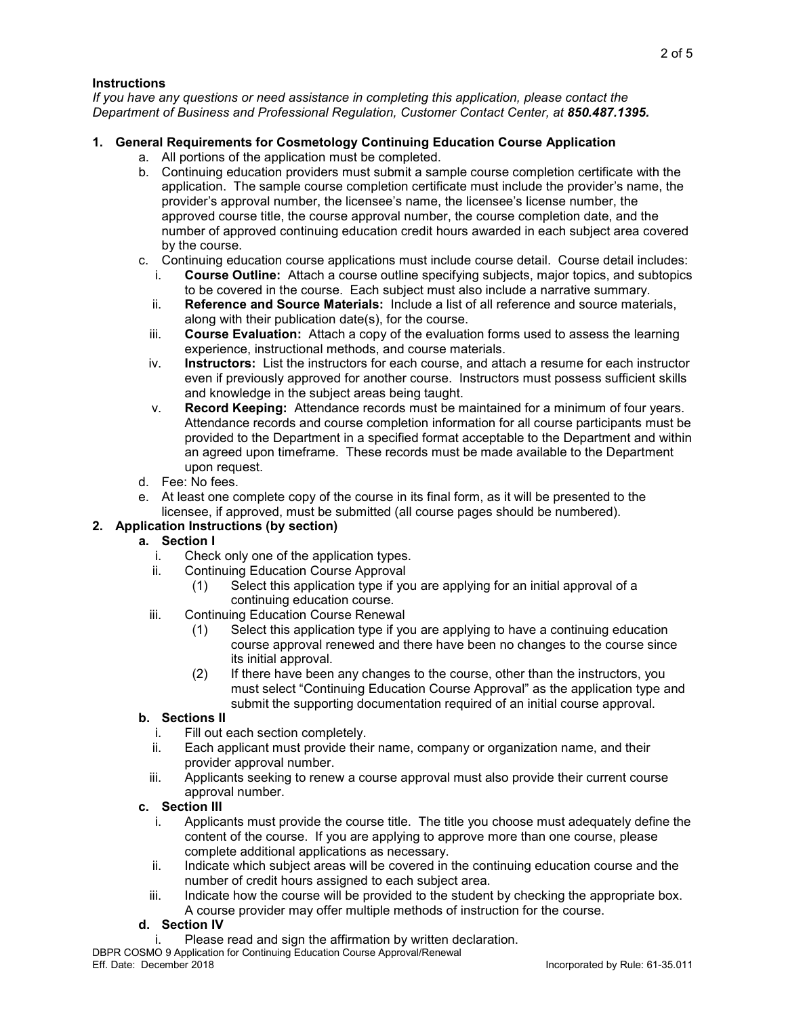## **Instructions**

*If you have any questions or need assistance in completing this application, please contact the Department of Business and Professional Regulation, Customer Contact Center, at 850.487.1395.*

# **1. General Requirements for Cosmetology Continuing Education Course Application**

- a. All portions of the application must be completed.
- b. Continuing education providers must submit a sample course completion certificate with the application. The sample course completion certificate must include the provider's name, the provider's approval number, the licensee's name, the licensee's license number, the approved course title, the course approval number, the course completion date, and the number of approved continuing education credit hours awarded in each subject area covered by the course.
- c. Continuing education course applications must include course detail. Course detail includes:<br>i. Course Outline: Attach a course outline specifying subjects, maior topics, and subtopics
	- i. **Course Outline:** Attach a course outline specifying subjects, major topics, and subtopics to be covered in the course. Each subject must also include a narrative summary.
	- ii. **Reference and Source Materials:** Include a list of all reference and source materials, along with their publication date(s), for the course.
	- iii. **Course Evaluation:** Attach a copy of the evaluation forms used to assess the learning experience, instructional methods, and course materials.
	- iv. **Instructors:** List the instructors for each course, and attach a resume for each instructor even if previously approved for another course. Instructors must possess sufficient skills and knowledge in the subject areas being taught.
	- v. **Record Keeping:** Attendance records must be maintained for a minimum of four years. Attendance records and course completion information for all course participants must be provided to the Department in a specified format acceptable to the Department and within an agreed upon timeframe. These records must be made available to the Department upon request.
- d. Fee: No fees.
- e. At least one complete copy of the course in its final form, as it will be presented to the licensee, if approved, must be submitted (all course pages should be numbered).

# **2. Application Instructions (by section)**

# **a. Section I**

- i. Check only one of the application types.<br>ii. Continuing Education Course Approval
- Continuing Education Course Approval
	- (1) Select this application type if you are applying for an initial approval of a continuing education course.
- iii. Continuing Education Course Renewal
	- (1) Select this application type if you are applying to have a continuing education course approval renewed and there have been no changes to the course since its initial approval.
	- (2) If there have been any changes to the course, other than the instructors, you must select "Continuing Education Course Approval" as the application type and submit the supporting documentation required of an initial course approval.

# **b. Sections II**

- i. Fill out each section completely.<br>ii. Each applicant must provide thei
- Each applicant must provide their name, company or organization name, and their provider approval number.
- iii. Applicants seeking to renew a course approval must also provide their current course approval number.

# **c. Section III**

- i. Applicants must provide the course title. The title you choose must adequately define the content of the course. If you are applying to approve more than one course, please complete additional applications as necessary.
- ii. Indicate which subject areas will be covered in the continuing education course and the number of credit hours assigned to each subject area.
- iii. Indicate how the course will be provided to the student by checking the appropriate box. A course provider may offer multiple methods of instruction for the course.

## **d. Section IV**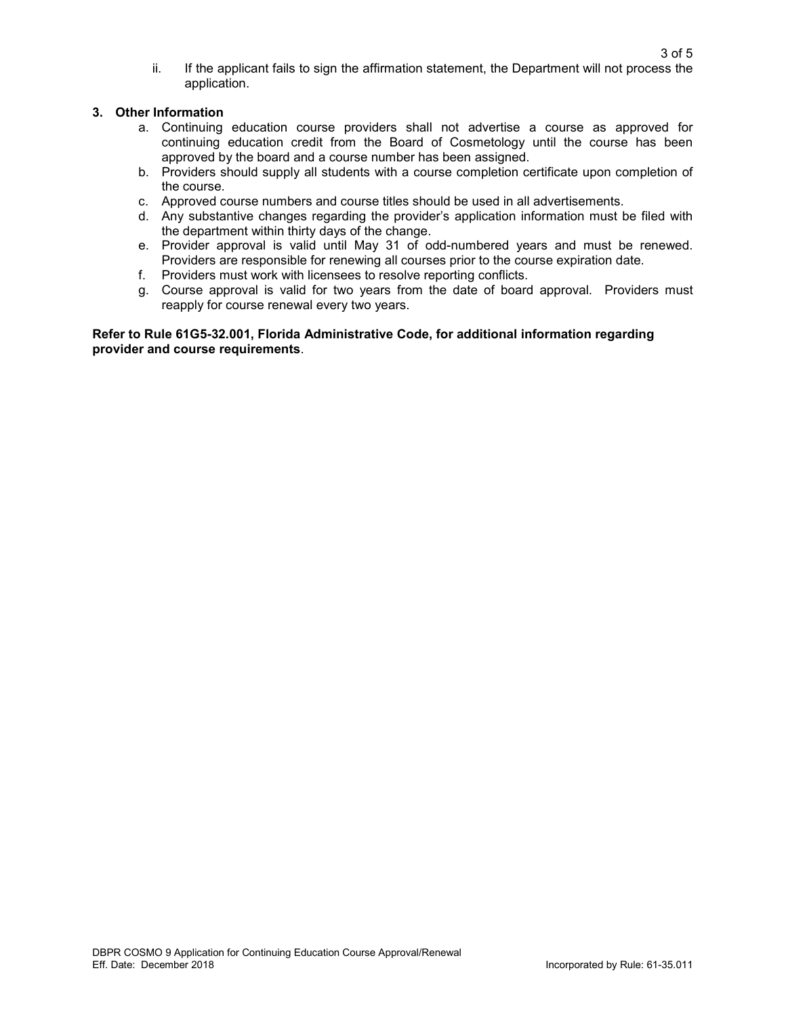ii. If the applicant fails to sign the affirmation statement, the Department will not process the application.

## **3. Other Information**

- a. Continuing education course providers shall not advertise a course as approved for continuing education credit from the Board of Cosmetology until the course has been approved by the board and a course number has been assigned.
- b. Providers should supply all students with a course completion certificate upon completion of the course.
- c. Approved course numbers and course titles should be used in all advertisements.
- d. Any substantive changes regarding the provider's application information must be filed with the department within thirty days of the change.
- e. Provider approval is valid until May 31 of odd-numbered years and must be renewed. Providers are responsible for renewing all courses prior to the course expiration date.
- f. Providers must work with licensees to resolve reporting conflicts.
- g. Course approval is valid for two years from the date of board approval. Providers must reapply for course renewal every two years.

**Refer to Rule 61G5-32.001, Florida Administrative Code, for additional information regarding provider and course requirements**.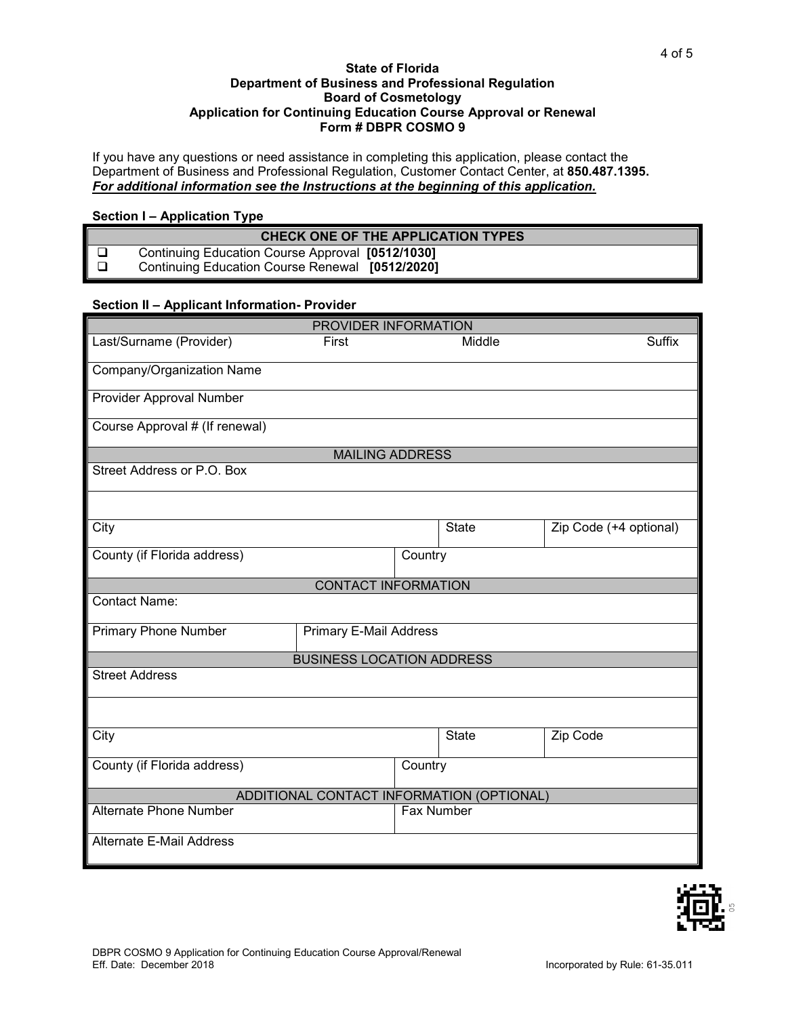### **State of Florida Department of Business and Professional Regulation Board of Cosmetology Application for Continuing Education Course Approval or Renewal Form # DBPR COSMO 9**

If you have any questions or need assistance in completing this application, please contact the Department of Business and Professional Regulation, Customer Contact Center, at **850.487.1395.** *For additional information see the Instructions at the beginning of this application.*

## **Section I – Application Type**

| <b>CHECK ONE OF THE APPLICATION TYPES</b> |                                                  |  |  |  |  |
|-------------------------------------------|--------------------------------------------------|--|--|--|--|
|                                           | Continuing Education Course Approval [0512/1030] |  |  |  |  |
|                                           | Continuing Education Course Renewal [0512/2020]  |  |  |  |  |

## **Section II – Applicant Information- Provider**

| PROVIDER INFORMATION                      |                                  |         |              |                        |  |  |  |
|-------------------------------------------|----------------------------------|---------|--------------|------------------------|--|--|--|
| Last/Surname (Provider)                   | First                            |         | Middle       | <b>Suffix</b>          |  |  |  |
| Company/Organization Name                 |                                  |         |              |                        |  |  |  |
|                                           |                                  |         |              |                        |  |  |  |
| Provider Approval Number                  |                                  |         |              |                        |  |  |  |
| Course Approval # (If renewal)            |                                  |         |              |                        |  |  |  |
|                                           | <b>MAILING ADDRESS</b>           |         |              |                        |  |  |  |
| Street Address or P.O. Box                |                                  |         |              |                        |  |  |  |
|                                           |                                  |         |              |                        |  |  |  |
| City                                      |                                  |         | <b>State</b> | Zip Code (+4 optional) |  |  |  |
| County (if Florida address)               |                                  | Country |              |                        |  |  |  |
|                                           | <b>CONTACT INFORMATION</b>       |         |              |                        |  |  |  |
| <b>Contact Name:</b>                      |                                  |         |              |                        |  |  |  |
| <b>Primary Phone Number</b>               | <b>Primary E-Mail Address</b>    |         |              |                        |  |  |  |
|                                           | <b>BUSINESS LOCATION ADDRESS</b> |         |              |                        |  |  |  |
| <b>Street Address</b>                     |                                  |         |              |                        |  |  |  |
|                                           |                                  |         |              |                        |  |  |  |
| City                                      |                                  |         | State        | Zip Code               |  |  |  |
| County (if Florida address)               |                                  | Country |              |                        |  |  |  |
| ADDITIONAL CONTACT INFORMATION (OPTIONAL) |                                  |         |              |                        |  |  |  |
| Alternate Phone Number                    |                                  |         | Fax Number   |                        |  |  |  |
| <b>Alternate E-Mail Address</b>           |                                  |         |              |                        |  |  |  |